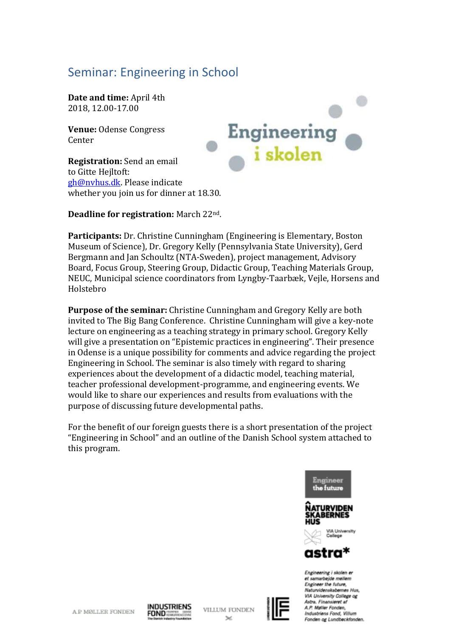# Seminar: Engineering in School

**Date and time:** April 4th 2018, 12.00-17.00

**Venue:** Odense Congress Center

**Registration:** Send an email to Gitte Heiltoft: [gh@nvhus.dk.](mailto:gh@nvhus.dk) Please indicate whether you join us for dinner at 18.30.



#### **Deadline for registration:** March 22nd.

**Participants:** Dr. Christine Cunningham (Engineering is Elementary, Boston Museum of Science), Dr. Gregory Kelly (Pennsylvania State University), Gerd Bergmann and Jan Schoultz (NTA-Sweden), project management, Advisory Board, Focus Group, Steering Group, Didactic Group, Teaching Materials Group, NEUC, Municipal science coordinators from Lyngby-Taarbæk, Vejle, Horsens and Holstebro

**Purpose of the seminar:** Christine Cunningham and Gregory Kelly are both invited to The Big Bang Conference. Christine Cunningham will give a key-note lecture on engineering as a teaching strategy in primary school. Gregory Kelly will give a presentation on "Epistemic practices in engineering". Their presence in Odense is a unique possibility for comments and advice regarding the project Engineering in School. The seminar is also timely with regard to sharing experiences about the development of a didactic model, teaching material, teacher professional development-programme, and engineering events. We would like to share our experiences and results from evaluations with the purpose of discussing future developmental paths.

For the benefit of our foreign guests there is a short presentation of the project "Engineering in School" and an outline of the Danish School system attached to this program.



et samarbejde mellem Engineer the future. Naturvidenskabernes Hus, VIA University College og Astra, Finansieret af A.P. Maller Fonden Industrians Fond, Willum Fonden ag Lundbeckfanden.



**VILLUM FONDEN**  $\sim$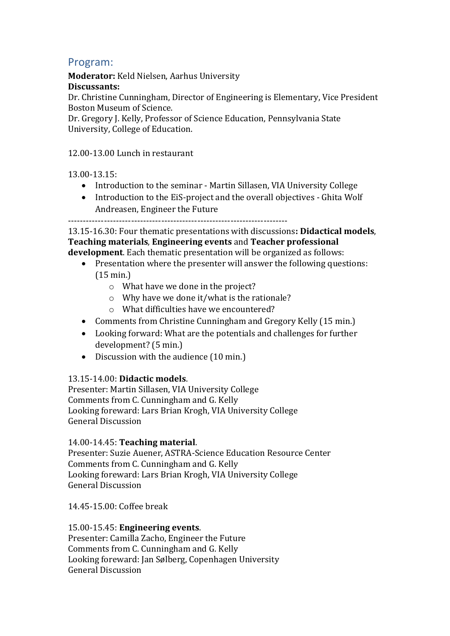## Program:

**Moderator:** Keld Nielsen, Aarhus University

#### **Discussants:**

Dr. Christine Cunningham, Director of Engineering is Elementary, Vice President Boston Museum of Science.

Dr. Gregory J. Kelly, Professor of Science Education, Pennsylvania State University, College of Education.

#### 12.00-13.00 Lunch in restaurant

13.00-13.15:

- Introduction to the seminar Martin Sillasen, VIA University College
- Introduction to the EiS-project and the overall objectives Ghita Wolf Andreasen, Engineer the Future

-------------------------------------------------------------------------

13.15-16.30: Four thematic presentations with discussions**: Didactical models**, **Teaching materials**, **Engineering events** and **Teacher professional development**. Each thematic presentation will be organized as follows:

- Presentation where the presenter will answer the following questions: (15 min.)
	- o What have we done in the project?
	- o Why have we done it/what is the rationale?
	- o What difficulties have we encountered?
- Comments from Christine Cunningham and Gregory Kelly (15 min.)
- Looking forward: What are the potentials and challenges for further development? (5 min.)
- Discussion with the audience (10 min.)

### 13.15-14.00: **Didactic models**.

Presenter: Martin Sillasen, VIA University College Comments from C. Cunningham and G. Kelly Looking foreward: Lars Brian Krogh, VIA University College General Discussion

14.00-14.45: **Teaching material**.

Presenter: Suzie Auener, ASTRA-Science Education Resource Center Comments from C. Cunningham and G. Kelly Looking foreward: Lars Brian Krogh, VIA University College General Discussion

14.45-15.00: Coffee break

15.00-15.45: **Engineering events**. Presenter: Camilla Zacho, Engineer the Future Comments from C. Cunningham and G. Kelly Looking foreward: Jan Sølberg, Copenhagen University General Discussion